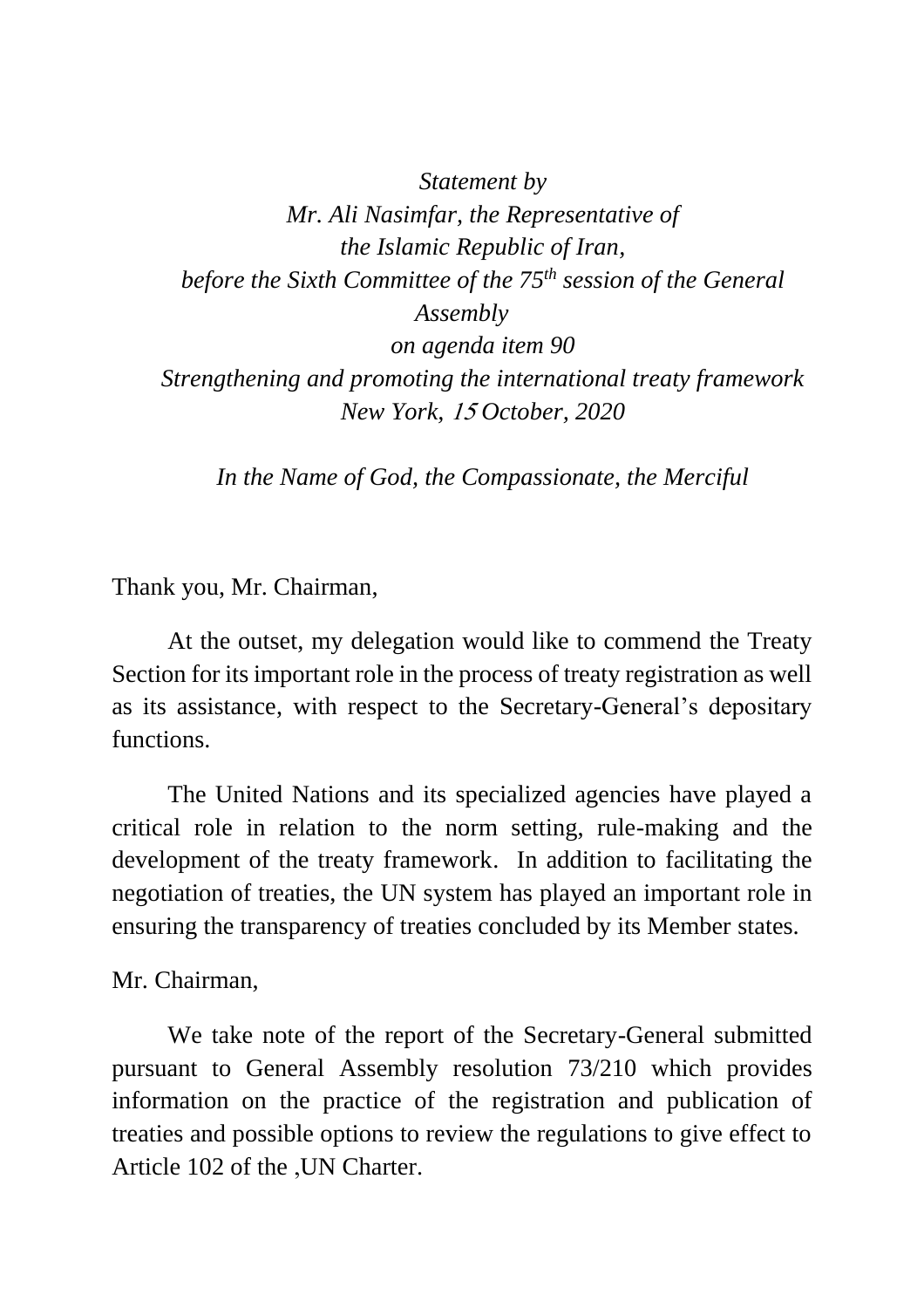*Statement by Mr. Ali Nasimfar, the Representative of the Islamic Republic of Iran, before the Sixth Committee of the 75 th session of the General Assembly on agenda item 90 Strengthening and promoting the international treaty framework New York,* <sup>15</sup> *October, 2020*

*In the Name of God, the Compassionate, the Merciful*

Thank you, Mr. Chairman,

At the outset, my delegation would like to commend the Treaty Section for its important role in the process of treaty registration as well as its assistance, with respect to the Secretary-General's depositary functions.

The United Nations and its specialized agencies have played a critical role in relation to the norm setting, rule-making and the development of the treaty framework. In addition to facilitating the negotiation of treaties, the UN system has played an important role in ensuring the transparency of treaties concluded by its Member states.

## Mr. Chairman,

We take note of the report of the Secretary-General submitted pursuant to General Assembly resolution 73/210 which provides information on the practice of the registration and publication of treaties and possible options to review the regulations to give effect to Article 102 of the ,UN Charter.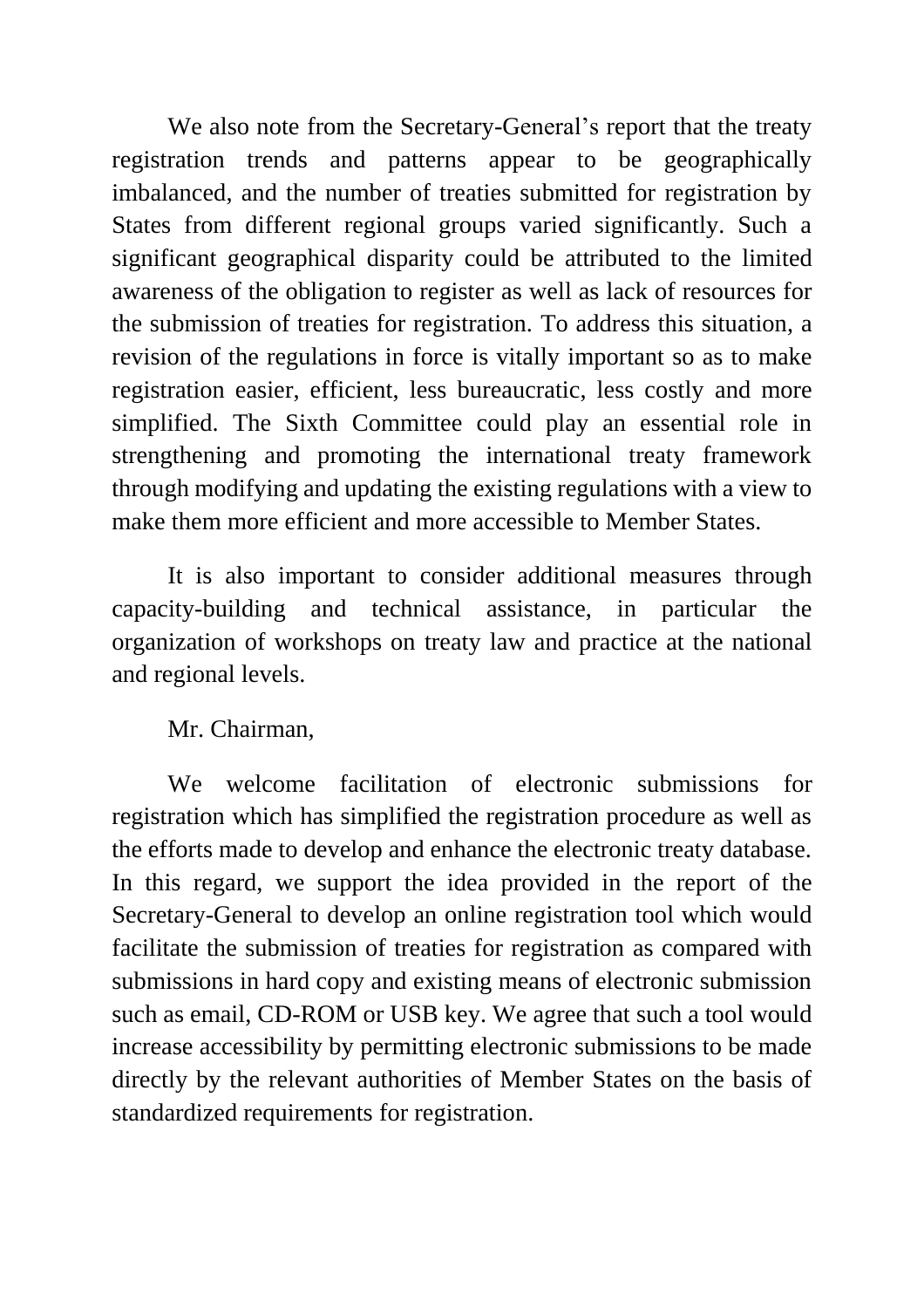We also note from the Secretary-General's report that the treaty registration trends and patterns appear to be geographically imbalanced, and the number of treaties submitted for registration by States from different regional groups varied significantly. Such a significant geographical disparity could be attributed to the limited awareness of the obligation to register as well as lack of resources for the submission of treaties for registration. To address this situation, a revision of the regulations in force is vitally important so as to make registration easier, efficient, less bureaucratic, less costly and more simplified. The Sixth Committee could play an essential role in strengthening and promoting the international treaty framework through modifying and updating the existing regulations with a view to make them more efficient and more accessible to Member States.

It is also important to consider additional measures through capacity-building and technical assistance, in particular the organization of workshops on treaty law and practice at the national and regional levels.

## Mr. Chairman,

We welcome facilitation of electronic submissions for registration which has simplified the registration procedure as well as the efforts made to develop and enhance the electronic treaty database. In this regard, we support the idea provided in the report of the Secretary-General to develop an online registration tool which would facilitate the submission of treaties for registration as compared with submissions in hard copy and existing means of electronic submission such as email, CD-ROM or USB key. We agree that such a tool would increase accessibility by permitting electronic submissions to be made directly by the relevant authorities of Member States on the basis of standardized requirements for registration.